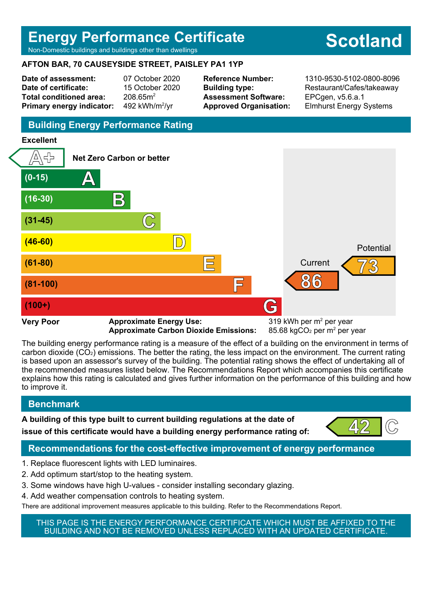## **Energy Performance Certificate**

Non-Domestic buildings and buildings other than dwellings

#### **AFTON BAR, 70 CAUSEYSIDE STREET, PAISLEY PA1 1YP**

**Date of assessment:** 07 October 2020 **Date of certificate:** 15 October 2020 Total conditioned area: 208.65m<sup>2</sup> **Primary energy indicator:** 

492 kWh/m $2/yr$ 

**Assessment Software:** EPCgen, v5.6.a.1

**Reference Number:** 1310-9530-5102-0800-8096 **Building type:** Restaurant/Cafes/takeaway **Approved Organisation:** Elmhurst Energy Systems

## **Building Energy Performance Rating**

## **Excellent**



Approximate Carbon Dioxide Emissions:

85.68 kgCO<sub>2</sub> per  $m<sup>2</sup>$  per year

The building energy performance rating is a measure of the effect of a building on the environment in terms of carbon dioxide (CO2) emissions. The better the rating, the less impact on the environment. The current rating is based upon an assessor's survey of the building. The potential rating shows the effect of undertaking all of the recommended measures listed below. The Recommendations Report which accompanies this certificate explains how this rating is calculated and gives further information on the performance of this building and how to improve it.

## **Benchmark**

**A building of this type built to current building regulations at the date of issue of this certificate would have a building energy performance rating of:** 



## **Recommendations for the cost-effective improvement of energy performance**

- 1. Replace fluorescent lights with LED luminaires.
- 2. Add optimum start/stop to the heating system.
- 3. Some windows have high U-values consider installing secondary glazing.
- 4. Add weather compensation controls to heating system.
- There are additional improvement measures applicable to this building. Refer to the Recommendations Report.

THIS PAGE IS THE ENERGY PERFORMANCE CERTIFICATE WHICH MUST BE AFFIXED TO THE BUILDING AND NOT BE REMOVED UNLESS REPLACED WITH AN UPDATED CERTIFICATE.

# **Scotland**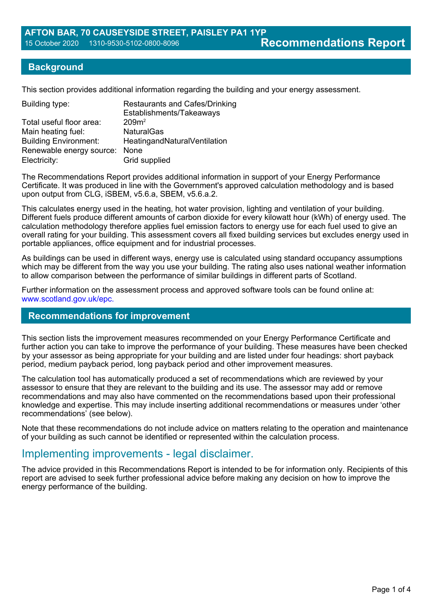#### **Background**

This section provides additional information regarding the building and your energy assessment.

| <b>Restaurants and Cafes/Drinking</b><br>Establishments/Takeaways |
|-------------------------------------------------------------------|
| 209m <sup>2</sup>                                                 |
| <b>NaturalGas</b>                                                 |
| HeatingandNaturalVentilation                                      |
| Renewable energy source: None                                     |
| Grid supplied                                                     |
|                                                                   |

The Recommendations Report provides additional information in support of your Energy Performance Certificate. It was produced in line with the Government's approved calculation methodology and is based upon output from CLG, iSBEM, v5.6.a, SBEM, v5.6.a.2.

This calculates energy used in the heating, hot water provision, lighting and ventilation of your building. Different fuels produce different amounts of carbon dioxide for every kilowatt hour (kWh) of energy used. The calculation methodology therefore applies fuel emission factors to energy use for each fuel used to give an overall rating for your building. This assessment covers all fixed building services but excludes energy used in portable appliances, office equipment and for industrial processes.

As buildings can be used in different ways, energy use is calculated using standard occupancy assumptions which may be different from the way you use your building. The rating also uses national weather information to allow comparison between the performance of similar buildings in different parts of Scotland.

Further information on the assessment process and approved software tools can be found online at: www.scotland.gov.uk/epc.

#### **Recommendations for improvement**

This section lists the improvement measures recommended on your Energy Performance Certificate and further action you can take to improve the performance of your building. These measures have been checked by your assessor as being appropriate for your building and are listed under four headings: short payback period, medium payback period, long payback period and other improvement measures.

The calculation tool has automatically produced a set of recommendations which are reviewed by your assessor to ensure that they are relevant to the building and its use. The assessor may add or remove recommendations and may also have commented on the recommendations based upon their professional knowledge and expertise. This may include inserting additional recommendations or measures under 'other recommendations' (see below).

Note that these recommendations do not include advice on matters relating to the operation and maintenance of your building as such cannot be identified or represented within the calculation process.

## Implementing improvements - legal disclaimer.

The advice provided in this Recommendations Report is intended to be for information only. Recipients of this report are advised to seek further professional advice before making any decision on how to improve the energy performance of the building.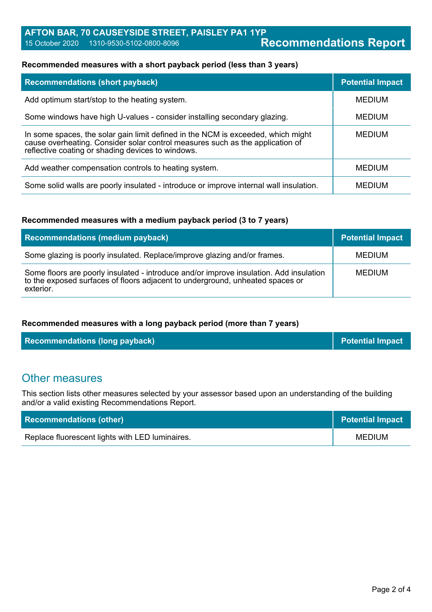#### **Recommended measures with a short payback period (less than 3 years)**

| <b>Recommendations (short payback)</b>                                                                                                                                                                                 | <b>Potential Impact</b> |
|------------------------------------------------------------------------------------------------------------------------------------------------------------------------------------------------------------------------|-------------------------|
| Add optimum start/stop to the heating system.                                                                                                                                                                          | <b>MEDIUM</b>           |
| Some windows have high U-values - consider installing secondary glazing.                                                                                                                                               | <b>MEDIUM</b>           |
| In some spaces, the solar gain limit defined in the NCM is exceeded, which might<br>cause overheating. Consider solar control measures such as the application of<br>reflective coating or shading devices to windows. | <b>MEDIUM</b>           |
| Add weather compensation controls to heating system.                                                                                                                                                                   | <b>MEDIUM</b>           |
| Some solid walls are poorly insulated - introduce or improve internal wall insulation.                                                                                                                                 | <b>MEDIUM</b>           |

#### **Recommended measures with a medium payback period (3 to 7 years)**

| Recommendations (medium payback)                                                                                                                                                     | <b>Potential Impact</b> |
|--------------------------------------------------------------------------------------------------------------------------------------------------------------------------------------|-------------------------|
| Some glazing is poorly insulated. Replace/improve glazing and/or frames.                                                                                                             | <b>MEDIUM</b>           |
| Some floors are poorly insulated - introduce and/or improve insulation. Add insulation<br>to the exposed surfaces of floors adjacent to underground, unheated spaces or<br>exterior. | <b>MEDIUM</b>           |

#### **Recommended measures with a long payback period (more than 7 years)**

| <b>Recommendations (long payback)</b> | <b>Potential Impact</b> |
|---------------------------------------|-------------------------|
|---------------------------------------|-------------------------|

## Other measures

This section lists other measures selected by your assessor based upon an understanding of the building and/or a valid existing Recommendations Report.

| <b>Recommendations (other)</b>                  | Potential Impact |
|-------------------------------------------------|------------------|
| Replace fluorescent lights with LED luminaires. | <b>MEDIUM</b>    |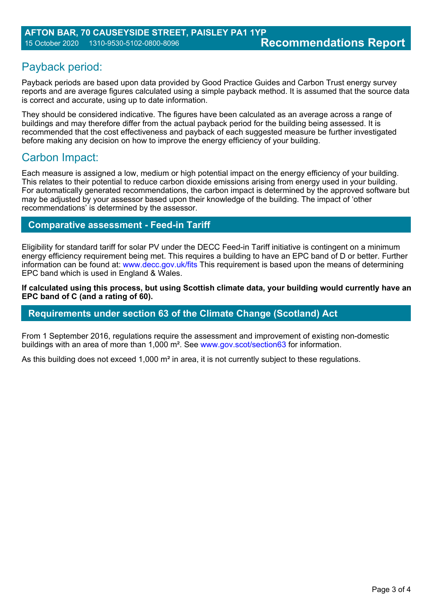## Payback period:

Payback periods are based upon data provided by Good Practice Guides and Carbon Trust energy survey reports and are average figures calculated using a simple payback method. It is assumed that the source data is correct and accurate, using up to date information.

They should be considered indicative. The figures have been calculated as an average across a range of buildings and may therefore differ from the actual payback period for the building being assessed. It is recommended that the cost effectiveness and payback of each suggested measure be further investigated before making any decision on how to improve the energy efficiency of your building.

## Carbon Impact:

Each measure is assigned a low, medium or high potential impact on the energy efficiency of your building. This relates to their potential to reduce carbon dioxide emissions arising from energy used in your building. For automatically generated recommendations, the carbon impact is determined by the approved software but may be adjusted by your assessor based upon their knowledge of the building. The impact of 'other recommendations' is determined by the assessor.

## **Comparative assessment - Feed-in Tariff**

Eligibility for standard tariff for solar PV under the DECC Feed-in Tariff initiative is contingent on a minimum energy efficiency requirement being met. This requires a building to have an EPC band of D or better. Further information can be found at: www.decc.gov.uk/fits This requirement is based upon the means of determining EPC band which is used in England & Wales.

**If calculated using this process, but using Scottish climate data, your building would currently have an EPC band of C (and a rating of 60).**

### **Requirements under section 63 of the Climate Change (Scotland) Act**

From 1 September 2016, regulations require the assessment and improvement of existing non-domestic buildings with an area of more than 1,000 m². See www.gov.scot/section63 for information.

As this building does not exceed 1,000 m<sup>2</sup> in area, it is not currently subject to these regulations.